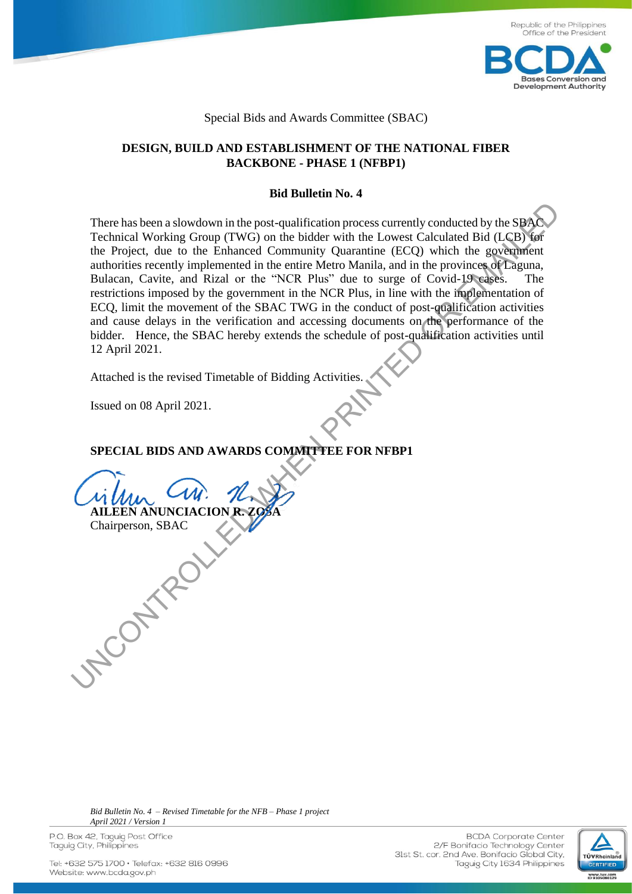

### Special Bids and Awards Committee (SBAC)

### **DESIGN, BUILD AND ESTABLISHMENT OF THE NATIONAL FIBER BACKBONE - PHASE 1 (NFBP1)**

### **Bid Bulletin No. 4**

There has been a slowdown in the post-qualification process currently conducted by the SBAC Technical Working Group (TWG) on the bidder with the Lowest Calculated Bid (LCB) for the Project, due to the Enhanced Community Quarantine (ECQ) which the government authorities recently implemented in the entire Metro Manila, and in the provinces of Laguna, Bulacan, Cavite, and Rizal or the "NCR Plus" due to surge of Covid-19 cases. The restrictions imposed by the government in the NCR Plus, in line with the implementation of ECQ, limit the movement of the SBAC TWG in the conduct of post-qualification activities and cause delays in the verification and accessing documents on the performance of the bidder. Hence, the SBAC hereby extends the schedule of post-qualification activities until 12 April 2021.

Attached is the revised Timetable of Bidding Activities.

Issued on 08 April 2021.

**AILEEN ANUNCIACION R.** 

Chairperson, SBAC

**UNCONTROLLED** 

# **SPECIAL BIDS AND AWARDS COMMITTEE FOR NFBP1**

*Bid Bulletin No. 4 – Revised Timetable for the NFB – Phase 1 project April 2021 / Version 1*

P.O. Box 42, Taguig Post Office Taguig City, Philippines

**BCDA** Corporate Center 2/F Bonifacio Technology Center 31st St. cor. 2nd Ave. Bonifacio Global City, Taguig City 1634 Philippines